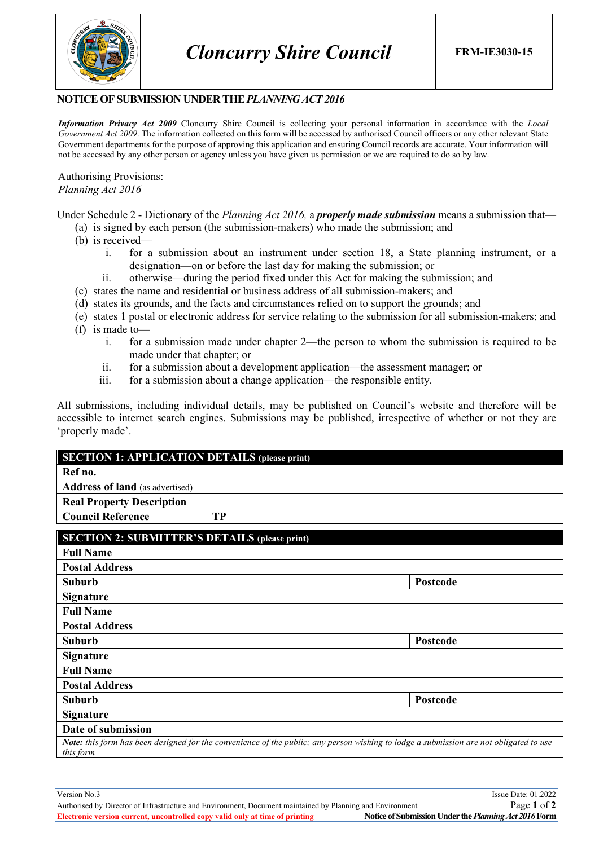

## **NOTICE OF SUBMISSION UNDER THE** *PLANNING ACT 2016*

*Information Privacy Act 2009* Cloncurry Shire Council is collecting your personal information in accordance with the *Local Government Act 2009*. The information collected on this form will be accessed by authorised Council officers or any other relevant State Government departments for the purpose of approving this application and ensuring Council records are accurate. Your information will not be accessed by any other person or agency unless you have given us permission or we are required to do so by law.

Authorising Provisions: *Planning Act 2016*

Under Schedule 2 - Dictionary of the *Planning Act 2016,* a *properly made submission* means a submission that—

- (a) is signed by each person (the submission-makers) who made the submission; and
- (b) is received
	- i. for a submission about an instrument under section 18, a State planning instrument, or a designation—on or before the last day for making the submission; or
	- ii. otherwise—during the period fixed under this Act for making the submission; and
- (c) states the name and residential or business address of all submission-makers; and
- (d) states its grounds, and the facts and circumstances relied on to support the grounds; and
- (e) states 1 postal or electronic address for service relating to the submission for all submission-makers; and
- (f) is made to
	- i. for a submission made under chapter 2—the person to whom the submission is required to be made under that chapter; or
	- ii. for a submission about a development application—the assessment manager; or
	- iii. for a submission about a change application—the responsible entity.

All submissions, including individual details, may be published on Council's website and therefore will be accessible to internet search engines. Submissions may be published, irrespective of whether or not they are 'properly made'.

| <b>SECTION 1: APPLICATION DETAILS (please print)</b> |    |  |
|------------------------------------------------------|----|--|
| Ref no.                                              |    |  |
| <b>Address of land</b> (as advertised)               |    |  |
| <b>Real Property Description</b>                     |    |  |
| <b>Council Reference</b>                             | TР |  |

| <b>SECTION 2: SUBMITTER'S DETAILS (please print)</b>                                                                                                |          |  |
|-----------------------------------------------------------------------------------------------------------------------------------------------------|----------|--|
| <b>Full Name</b>                                                                                                                                    |          |  |
| <b>Postal Address</b>                                                                                                                               |          |  |
| <b>Suburb</b>                                                                                                                                       | Postcode |  |
| <b>Signature</b>                                                                                                                                    |          |  |
| <b>Full Name</b>                                                                                                                                    |          |  |
| <b>Postal Address</b>                                                                                                                               |          |  |
| <b>Suburb</b>                                                                                                                                       | Postcode |  |
| <b>Signature</b>                                                                                                                                    |          |  |
| <b>Full Name</b>                                                                                                                                    |          |  |
| <b>Postal Address</b>                                                                                                                               |          |  |
| <b>Suburb</b>                                                                                                                                       | Postcode |  |
| <b>Signature</b>                                                                                                                                    |          |  |
| Date of submission                                                                                                                                  |          |  |
| Note: this form has been designed for the convenience of the public; any person wishing to lodge a submission are not obligated to use<br>this form |          |  |